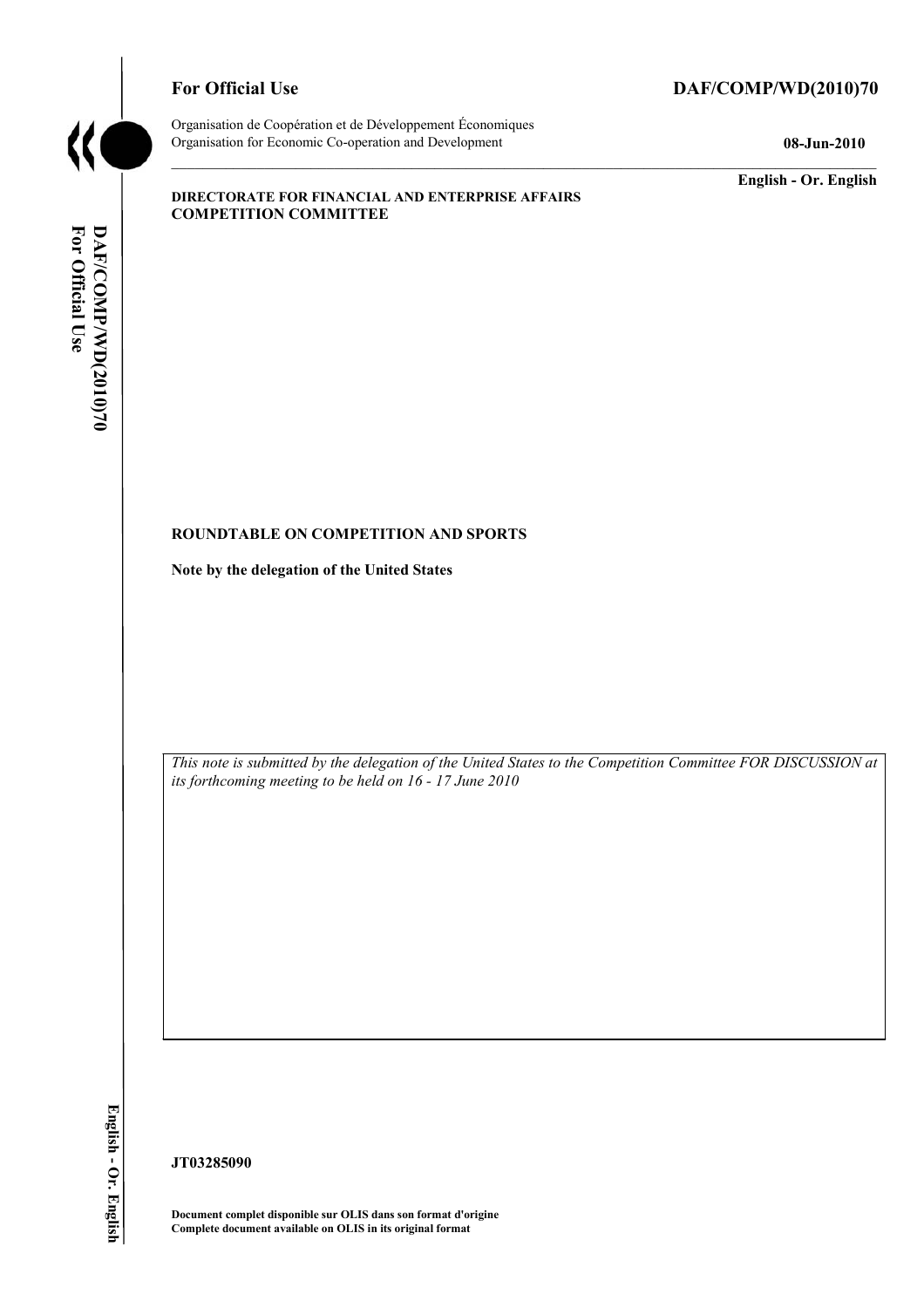

# For Official Use DAF/COMP/WD(2010)70

Organisation de Coopération et de Développement Économiques Organisation for Economic Co-operation and Development **08-Jun-2010** 

**English - Or. English** 

#### **DIRECTORATE FOR FINANCIAL AND ENTERPRISE AFFAIRS COMPETITION COMMITTEE**

#### **ROUNDTABLE ON COMPETITION AND SPORTS**

**Note by the delegation of the United States** 

 *This note is submitted by the delegation of the United States to the Competition Committee FOR DISCUSSION at its forthcoming meeting to be held on 16 - 17 June 2010* 

English - Or. English

**JT03285090** 

 **Document complet disponible sur OLIS dans son format d'origine Complete document available on OLIS in its original format**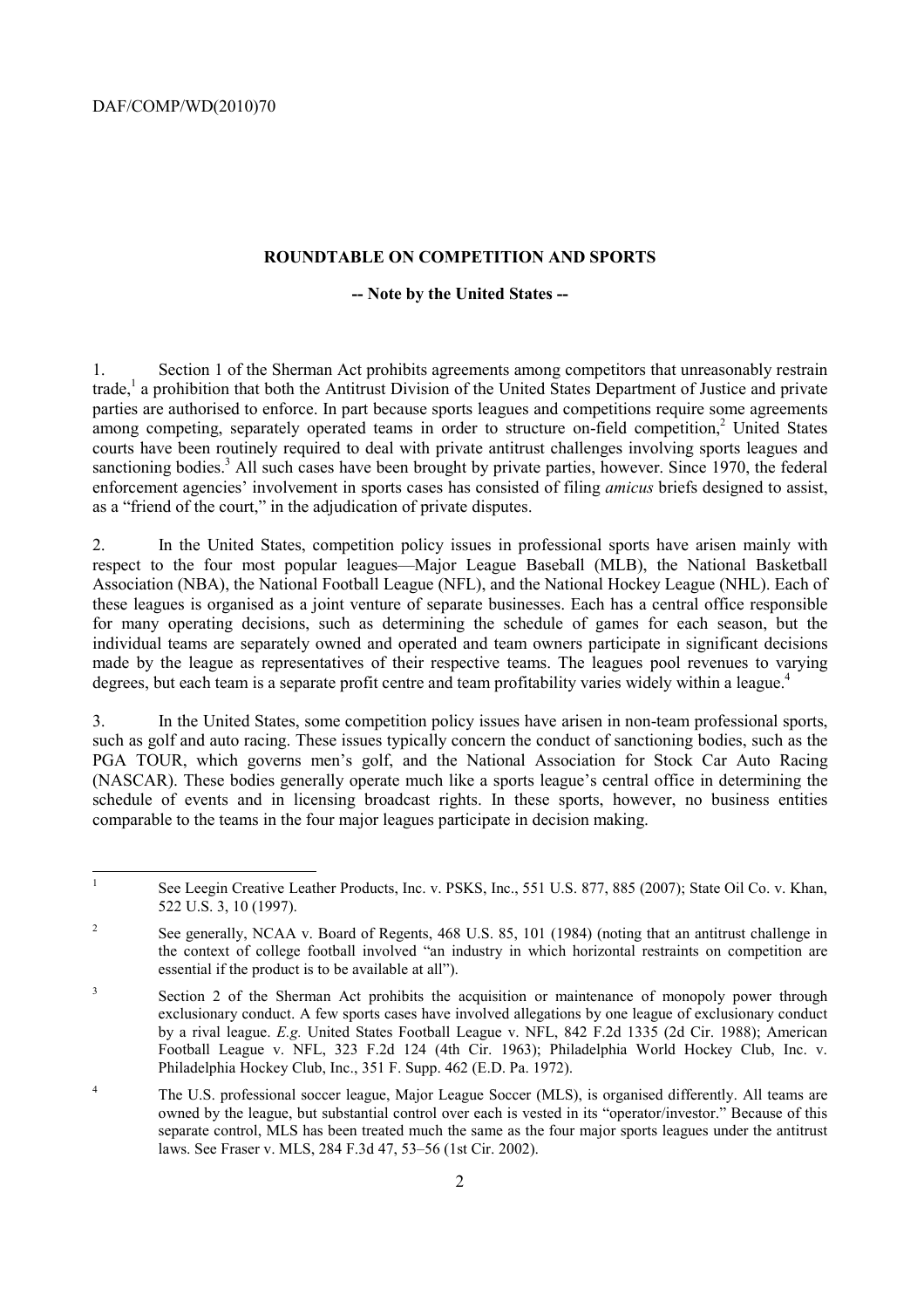#### **ROUNDTABLE ON COMPETITION AND SPORTS**

#### **-- Note by the United States --**

1. Section 1 of the Sherman Act prohibits agreements among competitors that unreasonably restrain trade,<sup>1</sup> a prohibition that both the Antitrust Division of the United States Department of Justice and private parties are authorised to enforce. In part because sports leagues and competitions require some agreements among competing, separately operated teams in order to structure on-field competition,<sup>2</sup> United States courts have been routinely required to deal with private antitrust challenges involving sports leagues and sanctioning bodies.<sup>3</sup> All such cases have been brought by private parties, however. Since 1970, the federal enforcement agencies' involvement in sports cases has consisted of filing *amicus* briefs designed to assist, as a "friend of the court," in the adjudication of private disputes.

2. In the United States, competition policy issues in professional sports have arisen mainly with respect to the four most popular leagues—Major League Baseball (MLB), the National Basketball Association (NBA), the National Football League (NFL), and the National Hockey League (NHL). Each of these leagues is organised as a joint venture of separate businesses. Each has a central office responsible for many operating decisions, such as determining the schedule of games for each season, but the individual teams are separately owned and operated and team owners participate in significant decisions made by the league as representatives of their respective teams. The leagues pool revenues to varying degrees, but each team is a separate profit centre and team profitability varies widely within a league.<sup>4</sup>

3. In the United States, some competition policy issues have arisen in non-team professional sports, such as golf and auto racing. These issues typically concern the conduct of sanctioning bodies, such as the PGA TOUR, which governs men's golf, and the National Association for Stock Car Auto Racing (NASCAR). These bodies generally operate much like a sports league's central office in determining the schedule of events and in licensing broadcast rights. In these sports, however, no business entities comparable to the teams in the four major leagues participate in decision making.

 $\mathbf{1}$ 1 See Leegin Creative Leather Products, Inc. v. PSKS, Inc., 551 U.S. 877, 885 (2007); State Oil Co. v. Khan, 522 U.S. 3, 10 (1997).

 $\overline{c}$  the context of college football involved "an industry in which horizontal restraints on competition are 2 See generally, NCAA v. Board of Regents, 468 U.S. 85, 101 (1984) (noting that an antitrust challenge in essential if the product is to be available at all").

 by a rival league. *E.g.* United States Football League v. NFL, 842 F.2d 1335 (2d Cir. 1988); American <sup>3</sup> Section 2 of the Sherman Act prohibits the acquisition or maintenance of monopoly power through exclusionary conduct. A few sports cases have involved allegations by one league of exclusionary conduct Football League v. NFL, 323 F.2d 124 (4th Cir. 1963); Philadelphia World Hockey Club, Inc. v. Philadelphia Hockey Club, Inc., 351 F. Supp. 462 (E.D. Pa. 1972).

 owned by the league, but substantial control over each is vested in its "operator/investor." Because of this <sup>4</sup> The U.S. professional soccer league, Major League Soccer (MLS), is organised differently. All teams are separate control, MLS has been treated much the same as the four major sports leagues under the antitrust laws. See Fraser v. MLS, 284 F.3d 47, 53–56 (1st Cir. 2002).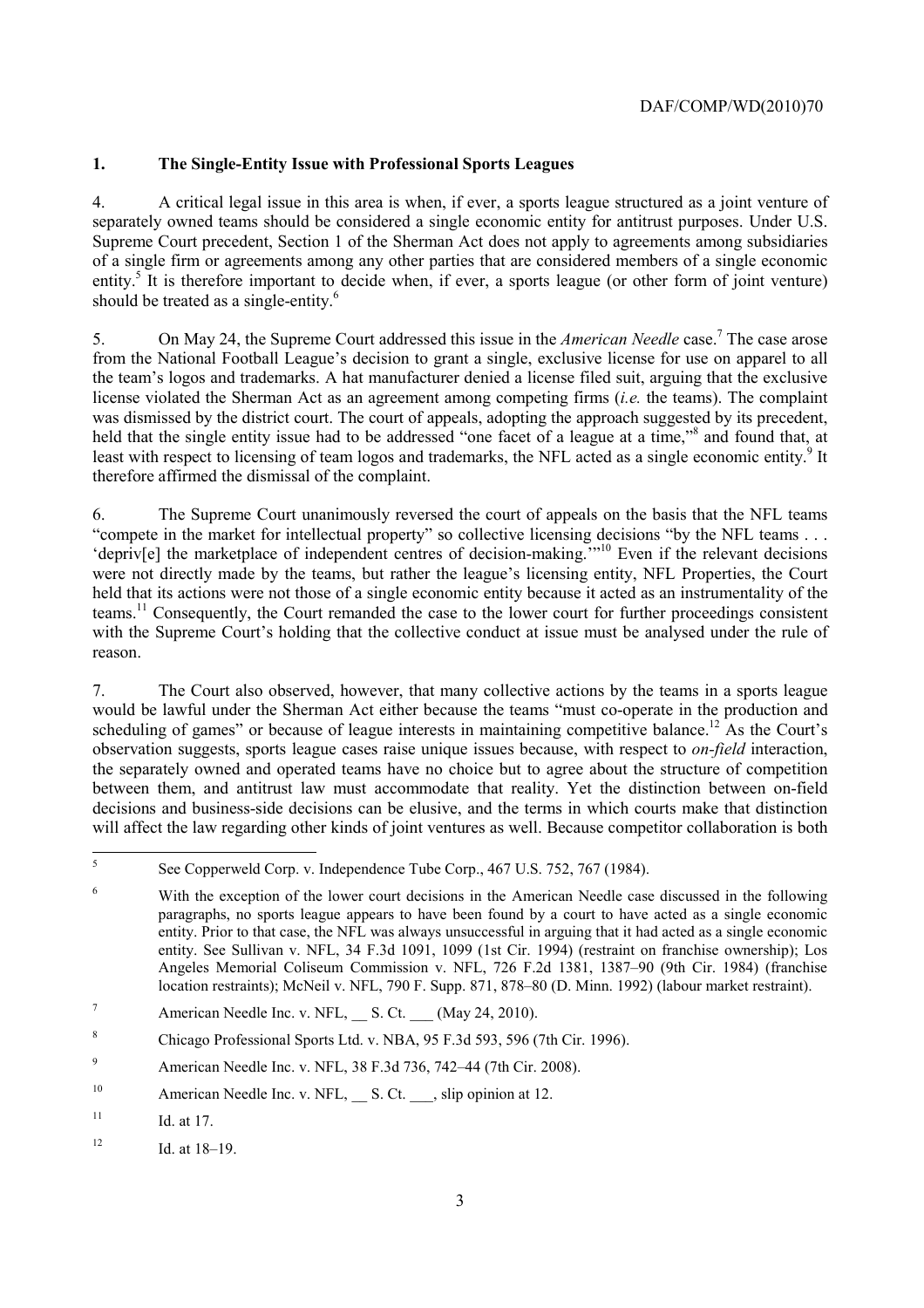# **1. The Single-Entity Issue with Professional Sports Leagues**

4. A critical legal issue in this area is when, if ever, a sports league structured as a joint venture of separately owned teams should be considered a single economic entity for antitrust purposes. Under U.S. Supreme Court precedent, Section 1 of the Sherman Act does not apply to agreements among subsidiaries of a single firm or agreements among any other parties that are considered members of a single economic entity.<sup>5</sup> It is therefore important to decide when, if ever, a sports league (or other form of joint venture) should be treated as a single-entity.<sup>6</sup>

5. On May 24, the Supreme Court addressed this issue in the *American Needle* case.7 The case arose from the National Football League's decision to grant a single, exclusive license for use on apparel to all the team's logos and trademarks. A hat manufacturer denied a license filed suit, arguing that the exclusive license violated the Sherman Act as an agreement among competing firms (*i.e.* the teams). The complaint was dismissed by the district court. The court of appeals, adopting the approach suggested by its precedent, held that the single entity issue had to be addressed "one facet of a league at a time,"<sup>8</sup> and found that, at least with respect to licensing of team logos and trademarks, the NFL acted as a single economic entity.<sup>9</sup> It therefore affirmed the dismissal of the complaint.

6. The Supreme Court unanimously reversed the court of appeals on the basis that the NFL teams "compete in the market for intellectual property" so collective licensing decisions "by the NFL teams . . . 'depriv[e] the marketplace of independent centres of decision-making.'"10 Even if the relevant decisions were not directly made by the teams, but rather the league's licensing entity. NFL Properties, the Court held that its actions were not those of a single economic entity because it acted as an instrumentality of the teams.11 Consequently, the Court remanded the case to the lower court for further proceedings consistent with the Supreme Court's holding that the collective conduct at issue must be analysed under the rule of reason.

 would be lawful under the Sherman Act either because the teams "must co-operate in the production and 7. The Court also observed, however, that many collective actions by the teams in a sports league scheduling of games" or because of league interests in maintaining competitive balance.<sup>12</sup> As the Court's observation suggests, sports league cases raise unique issues because, with respect to *on-field* interaction, the separately owned and operated teams have no choice but to agree about the structure of competition between them, and antitrust law must accommodate that reality. Yet the distinction between on-field decisions and business-side decisions can be elusive, and the terms in which courts make that distinction will affect the law regarding other kinds of joint ventures as well. Because competitor collaboration is both

 $\overline{5}$ 5 See Copperweld Corp. v. Independence Tube Corp., 467 U.S. 752, 767 (1984).

 entity. Prior to that case, the NFL was always unsuccessful in arguing that it had acted as a single economic 6 With the exception of the lower court decisions in the American Needle case discussed in the following paragraphs, no sports league appears to have been found by a court to have acted as a single economic entity. See Sullivan v. NFL, 34 F.3d 1091, 1099 (1st Cir. 1994) (restraint on franchise ownership); Los Angeles Memorial Coliseum Commission v. NFL, 726 F.2d 1381, 1387–90 (9th Cir. 1984) (franchise location restraints); McNeil v. NFL, 790 F. Supp. 871, 878–80 (D. Minn. 1992) (labour market restraint).

<sup>7</sup> American Needle Inc. v. NFL, S. Ct.  $(May 24, 2010)$ .

<sup>8</sup> Chicago Professional Sports Ltd. v. NBA, 95 F.3d 593, 596 (7th Cir. 1996).

<sup>9</sup> American Needle Inc. v. NFL, 38 F.3d 736, 742–44 (7th Cir. 2008).

<sup>&</sup>lt;sup>10</sup> American Needle Inc. v. NFL,  $\_\_\_\$ S. Ct.  $\_\_\_$ , slip opinion at 12.

 $11$  Id. at 17.

 $12$  Id. at  $18-19$ .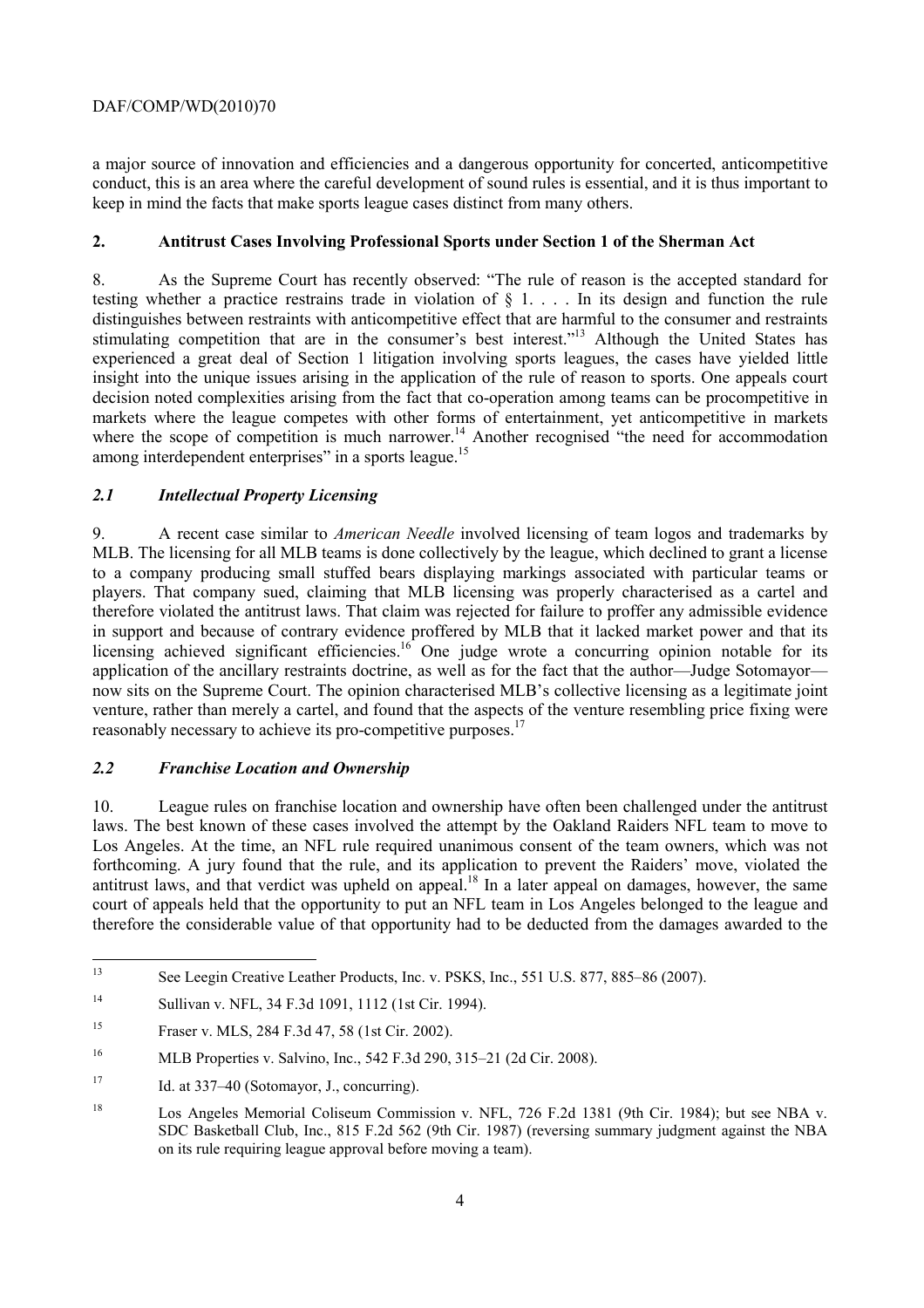a major source of innovation and efficiencies and a dangerous opportunity for concerted, anticompetitive conduct, this is an area where the careful development of sound rules is essential, and it is thus important to keep in mind the facts that make sports league cases distinct from many others.

### **2. Antitrust Cases Involving Professional Sports under Section 1 of the Sherman Act**

 decision noted complexities arising from the fact that co-operation among teams can be procompetitive in 8. As the Supreme Court has recently observed: "The rule of reason is the accepted standard for testing whether a practice restrains trade in violation of § 1. . . . In its design and function the rule distinguishes between restraints with anticompetitive effect that are harmful to the consumer and restraints stimulating competition that are in the consumer's best interest."<sup>13</sup> Although the United States has experienced a great deal of Section 1 litigation involving sports leagues, the cases have yielded little insight into the unique issues arising in the application of the rule of reason to sports. One appeals court markets where the league competes with other forms of entertainment, yet anticompetitive in markets where the scope of competition is much narrower.<sup>14</sup> Another recognised "the need for accommodation" among interdependent enterprises" in a sports league.<sup>15</sup>

#### *2.1 Intellectual Property Licensing*

 in support and because of contrary evidence proffered by MLB that it lacked market power and that its 9. A recent case similar to *American Needle* involved licensing of team logos and trademarks by MLB. The licensing for all MLB teams is done collectively by the league, which declined to grant a license to a company producing small stuffed bears displaying markings associated with particular teams or players. That company sued, claiming that MLB licensing was properly characterised as a cartel and therefore violated the antitrust laws. That claim was rejected for failure to proffer any admissible evidence licensing achieved significant efficiencies.<sup>16</sup> One judge wrote a concurring opinion notable for its application of the ancillary restraints doctrine, as well as for the fact that the author—Judge Sotomayor now sits on the Supreme Court. The opinion characterised MLB's collective licensing as a legitimate joint venture, rather than merely a cartel, and found that the aspects of the venture resembling price fixing were reasonably necessary to achieve its pro-competitive purposes.<sup>17</sup>

#### *2.2 Franchise Location and Ownership*

10. League rules on franchise location and ownership have often been challenged under the antitrust laws. The best known of these cases involved the attempt by the Oakland Raiders NFL team to move to Los Angeles. At the time, an NFL rule required unanimous consent of the team owners, which was not forthcoming. A jury found that the rule, and its application to prevent the Raiders' move, violated the antitrust laws, and that verdict was upheld on appeal.<sup>18</sup> In a later appeal on damages, however, the same court of appeals held that the opportunity to put an NFL team in Los Angeles belonged to the league and therefore the considerable value of that opportunity had to be deducted from the damages awarded to the

 $13$ See Leegin Creative Leather Products, Inc. v. PSKS, Inc., 551 U.S. 877, 885–86 (2007).

<sup>14</sup> Sullivan v. NFL, 34 F.3d 1091, 1112 (1st Cir. 1994).

<sup>15</sup> Fraser v. MLS, 284 F.3d 47, 58 (1st Cir. 2002).

<sup>&</sup>lt;sup>16</sup> MLB Properties v. Salvino, Inc., 542 F.3d 290, 315–21 (2d Cir. 2008).

<sup>&</sup>lt;sup>17</sup> Id. at  $337-40$  (Sotomayor, J., concurring).

<sup>18</sup> Los Angeles Memorial Coliseum Commission v. NFL, 726 F.2d 1381 (9th Cir. 1984); but see NBA v. SDC Basketball Club, Inc., 815 F.2d 562 (9th Cir. 1987) (reversing summary judgment against the NBA on its rule requiring league approval before moving a team).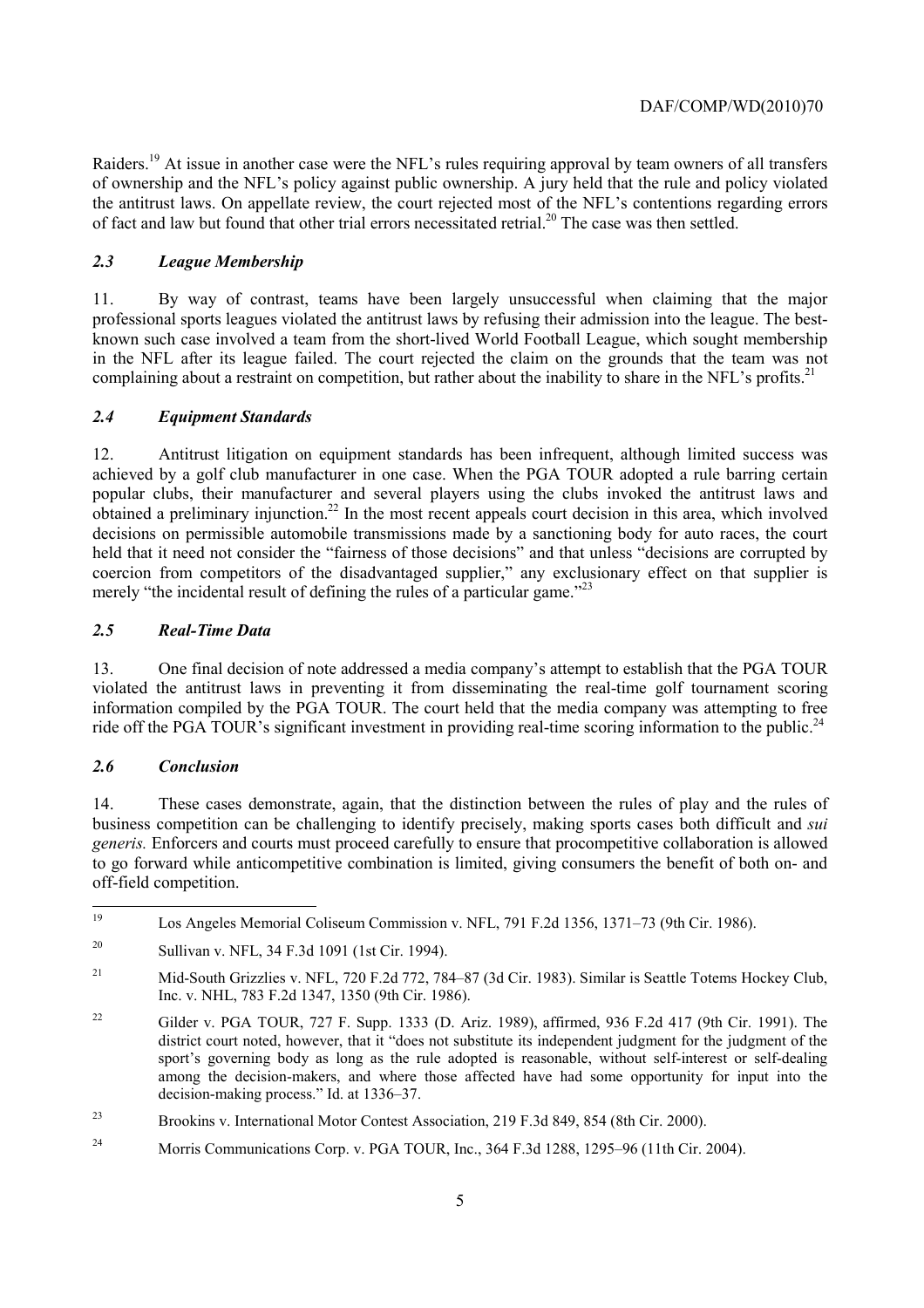Raiders.<sup>19</sup> At issue in another case were the NFL's rules requiring approval by team owners of all transfers of ownership and the NFL's policy against public ownership. A jury held that the rule and policy violated the antitrust laws. On appellate review, the court rejected most of the NFL's contentions regarding errors of fact and law but found that other trial errors necessitated retrial.<sup>20</sup> The case was then settled.

# *2.3 League Membership*

11. By way of contrast, teams have been largely unsuccessful when claiming that the major professional sports leagues violated the antitrust laws by refusing their admission into the league. The bestknown such case involved a team from the short-lived World Football League, which sought membership in the NFL after its league failed. The court rejected the claim on the grounds that the team was not complaining about a restraint on competition, but rather about the inability to share in the NFL's profits.<sup>21</sup>

# *2.4 Equipment Standards*

12. Antitrust litigation on equipment standards has been infrequent, although limited success was achieved by a golf club manufacturer in one case. When the PGA TOUR adopted a rule barring certain popular clubs, their manufacturer and several players using the clubs invoked the antitrust laws and obtained a preliminary injunction.<sup>22</sup> In the most recent appeals court decision in this area, which involved decisions on permissible automobile transmissions made by a sanctioning body for auto races, the court held that it need not consider the "fairness of those decisions" and that unless "decisions are corrupted by coercion from competitors of the disadvantaged supplier," any exclusionary effect on that supplier is merely "the incidental result of defining the rules of a particular game."<sup>23</sup>

# *2.5 Real-Time Data*

13. One final decision of note addressed a media company's attempt to establish that the PGA TOUR violated the antitrust laws in preventing it from disseminating the real-time golf tournament scoring information compiled by the PGA TOUR. The court held that the media company was attempting to free ride off the PGA TOUR's significant investment in providing real-time scoring information to the public.<sup>24</sup>

# *2.6 Conclusion*

14. These cases demonstrate, again, that the distinction between the rules of play and the rules of business competition can be challenging to identify precisely, making sports cases both difficult and *sui generis.* Enforcers and courts must proceed carefully to ensure that procompetitive collaboration is allowed to go forward while anticompetitive combination is limited, giving consumers the benefit of both on- and off-field competition.

 $19$ 19 Los Angeles Memorial Coliseum Commission v. NFL, 791 F.2d 1356, 1371–73 (9th Cir. 1986).

<sup>20</sup> Sullivan v. NFL, 34 F.3d 1091 (1st Cir. 1994).

<sup>&</sup>lt;sup>21</sup> Mid-South Grizzlies v. NFL, 720 F.2d 772, 784–87 (3d Cir. 1983). Similar is Seattle Totems Hockey Club, Inc. v. NHL, 783 F.2d 1347, 1350 (9th Cir. 1986).

 district court noted, however, that it "does not substitute its independent judgment for the judgment of the 22 Gilder v. PGA TOUR, 727 F. Supp. 1333 (D. Ariz. 1989), affirmed, 936 F.2d 417 (9th Cir. 1991). The sport's governing body as long as the rule adopted is reasonable, without self-interest or self-dealing among the decision-makers, and where those affected have had some opportunity for input into the decision-making process." Id. at 1336–37.

<sup>23</sup> Brookins v. International Motor Contest Association, 219 F.3d 849, 854 (8th Cir. 2000).

<sup>&</sup>lt;sup>24</sup> Morris Communications Corp. v. PGA TOUR, Inc., 364 F.3d 1288, 1295–96 (11th Cir. 2004).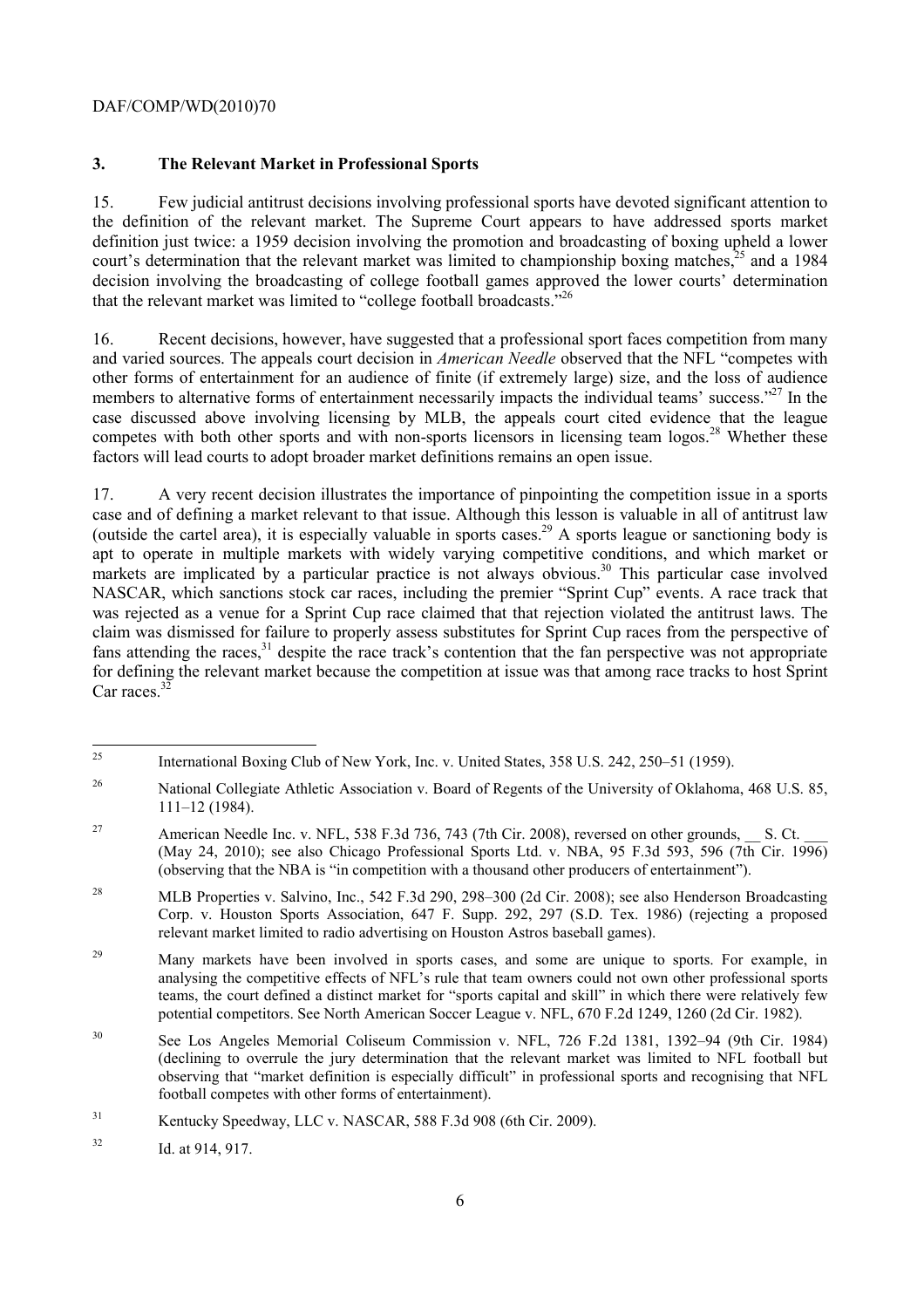### **3. The Relevant Market in Professional Sports**

 the definition of the relevant market. The Supreme Court appears to have addressed sports market 15. Few judicial antitrust decisions involving professional sports have devoted significant attention to definition just twice: a 1959 decision involving the promotion and broadcasting of boxing upheld a lower court's determination that the relevant market was limited to championship boxing matches,<sup>25</sup> and a 1984 decision involving the broadcasting of college football games approved the lower courts' determination that the relevant market was limited to "college football broadcasts."<sup>26</sup>

 16. Recent decisions, however, have suggested that a professional sport faces competition from many and varied sources. The appeals court decision in *American Needle* observed that the NFL "competes with other forms of entertainment for an audience of finite (if extremely large) size, and the loss of audience members to alternative forms of entertainment necessarily impacts the individual teams' success."<sup>27</sup> In the case discussed above involving licensing by MLB, the appeals court cited evidence that the league competes with both other sports and with non-sports licensors in licensing team logos.<sup>28</sup> Whether these factors will lead courts to adopt broader market definitions remains an open issue.

17. A very recent decision illustrates the importance of pinpointing the competition issue in a sports case and of defining a market relevant to that issue. Although this lesson is valuable in all of antitrust law (outside the cartel area), it is especially valuable in sports cases.29 A sports league or sanctioning body is apt to operate in multiple markets with widely varying competitive conditions, and which market or markets are implicated by a particular practice is not always obvious.<sup>30</sup> This particular case involved NASCAR, which sanctions stock car races, including the premier "Sprint Cup" events. A race track that was rejected as a venue for a Sprint Cup race claimed that that rejection violated the antitrust laws. The claim was dismissed for failure to properly assess substitutes for Sprint Cup races from the perspective of fans attending the races,<sup>31</sup> despite the race track's contention that the fan perspective was not appropriate for defining the relevant market because the competition at issue was that among race tracks to host Sprint Car races $^{32}$ 

 $25$ 25 International Boxing Club of New York, Inc. v. United States, 358 U.S. 242, 250–51 (1959).

<sup>&</sup>lt;sup>26</sup> National Collegiate Athletic Association v. Board of Regents of the University of Oklahoma, 468 U.S. 85, 111–12 (1984).

<sup>&</sup>lt;sup>27</sup> American Needle Inc. v. NFL, 538 F.3d 736, 743 (7th Cir. 2008), reversed on other grounds, S. Ct. (May 24, 2010); see also Chicago Professional Sports Ltd. v. NBA, 95 F.3d 593, 596 (7th Cir. 1996) (observing that the NBA is "in competition with a thousand other producers of entertainment").

<sup>&</sup>lt;sup>28</sup> MLB Properties v. Salvino, Inc., 542 F.3d 290, 298–300 (2d Cir. 2008); see also Henderson Broadcasting Corp. v. Houston Sports Association, 647 F. Supp. 292, 297 (S.D. Tex. 1986) (rejecting a proposed relevant market limited to radio advertising on Houston Astros baseball games).

<sup>29</sup>  teams, the court defined a distinct market for "sports capital and skill" in which there were relatively few 29 Many markets have been involved in sports cases, and some are unique to sports. For example, in analysing the competitive effects of NFL's rule that team owners could not own other professional sports potential competitors. See North American Soccer League v. NFL, 670 F.2d 1249, 1260 (2d Cir. 1982).

 (declining to overrule the jury determination that the relevant market was limited to NFL football but 30 See Los Angeles Memorial Coliseum Commission v. NFL, 726 F.2d 1381, 1392–94 (9th Cir. 1984) observing that "market definition is especially difficult" in professional sports and recognising that NFL football competes with other forms of entertainment).

<sup>&</sup>lt;sup>31</sup> Kentucky Speedway, LLC v. NASCAR, 588 F.3d 908 (6th Cir. 2009).

<sup>32</sup> Id. at 914, 917.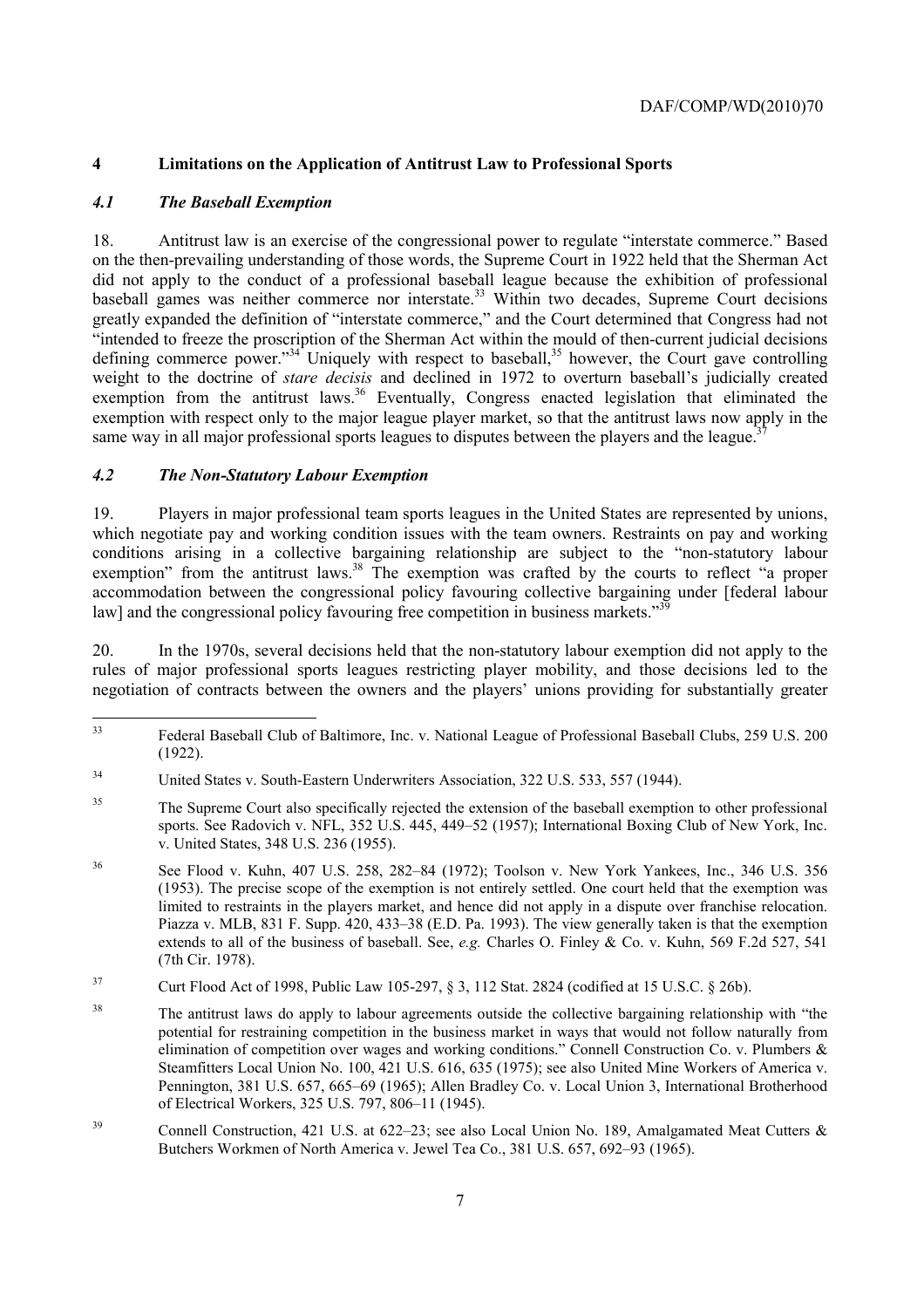# **4 Limitations on the Application of Antitrust Law to Professional Sports**

### *4.1 The Baseball Exemption*

18. Antitrust law is an exercise of the congressional power to regulate "interstate commerce." Based on the then-prevailing understanding of those words, the Supreme Court in 1922 held that the Sherman Act did not apply to the conduct of a professional baseball league because the exhibition of professional baseball games was neither commerce nor interstate.<sup>33</sup> Within two decades, Supreme Court decisions greatly expanded the definition of "interstate commerce," and the Court determined that Congress had not "intended to freeze the proscription of the Sherman Act within the mould of then-current judicial decisions defining commerce power."<sup>34</sup> Uniquely with respect to baseball,<sup>35</sup> however, the Court gave controlling weight to the doctrine of *stare decisis* and declined in 1972 to overturn baseball's judicially created exemption from the antitrust laws.<sup>36</sup> Eventually, Congress enacted legislation that eliminated the exemption with respect only to the major league player market, so that the antitrust laws now apply in the same way in all major professional sports leagues to disputes between the players and the league.<sup>3</sup>

# *4.2 The Non-Statutory Labour Exemption*

19. Players in major professional team sports leagues in the United States are represented by unions, which negotiate pay and working condition issues with the team owners. Restraints on pay and working conditions arising in a collective bargaining relationship are subject to the "non-statutory labour exemption" from the antitrust laws.<sup>38</sup> The exemption was crafted by the courts to reflect "a proper accommodation between the congressional policy favouring collective bargaining under [federal labour law] and the congressional policy favouring free competition in business markets."<sup>3</sup>

20. In the 1970s, several decisions held that the non-statutory labour exemption did not apply to the rules of major professional sports leagues restricting player mobility, and those decisions led to the negotiation of contracts between the owners and the players' unions providing for substantially greater

 $33$ 33 Federal Baseball Club of Baltimore, Inc. v. National League of Professional Baseball Clubs, 259 U.S. 200 (1922).

<sup>34</sup> United States v. South-Eastern Underwriters Association, 322 U.S. 533, 557 (1944).

<sup>&</sup>lt;sup>35</sup> The Supreme Court also specifically rejected the extension of the baseball exemption to other professional sports. See Radovich v. NFL, 352 U.S. 445, 449–52 (1957); International Boxing Club of New York, Inc. v. United States, 348 U.S. 236 (1955).

 (1953). The precise scope of the exemption is not entirely settled. One court held that the exemption was Piazza v. MLB, 831 F. Supp. 420, 433–38 (E.D. Pa. 1993). The view generally taken is that the exemption 36 See Flood v. Kuhn, 407 U.S. 258, 282–84 (1972); Toolson v. New York Yankees, Inc., 346 U.S. 356 limited to restraints in the players market, and hence did not apply in a dispute over franchise relocation. extends to all of the business of baseball. See, *e.g.* Charles O. Finley & Co. v. Kuhn, 569 F.2d 527, 541 (7th Cir. 1978).

<sup>37</sup> Curt Flood Act of 1998, Public Law 105-297, § 3, 112 Stat. 2824 (codified at 15 U.S.C. § 26b).

<sup>&</sup>lt;sup>38</sup> The antitrust laws do apply to labour agreements outside the collective bargaining relationship with "the potential for restraining competition in the business market in ways that would not follow naturally from elimination of competition over wages and working conditions." Connell Construction Co. v. Plumbers & Steamfitters Local Union No. 100, 421 U.S. 616, 635 (1975); see also United Mine Workers of America v. Pennington, 381 U.S. 657, 665–69 (1965); Allen Bradley Co. v. Local Union 3, International Brotherhood of Electrical Workers, 325 U.S. 797, 806–11 (1945).

<sup>&</sup>lt;sup>39</sup> Connell Construction, 421 U.S. at 622–23; see also Local Union No. 189, Amalgamated Meat Cutters & Butchers Workmen of North America v. Jewel Tea Co., 381 U.S. 657, 692–93 (1965).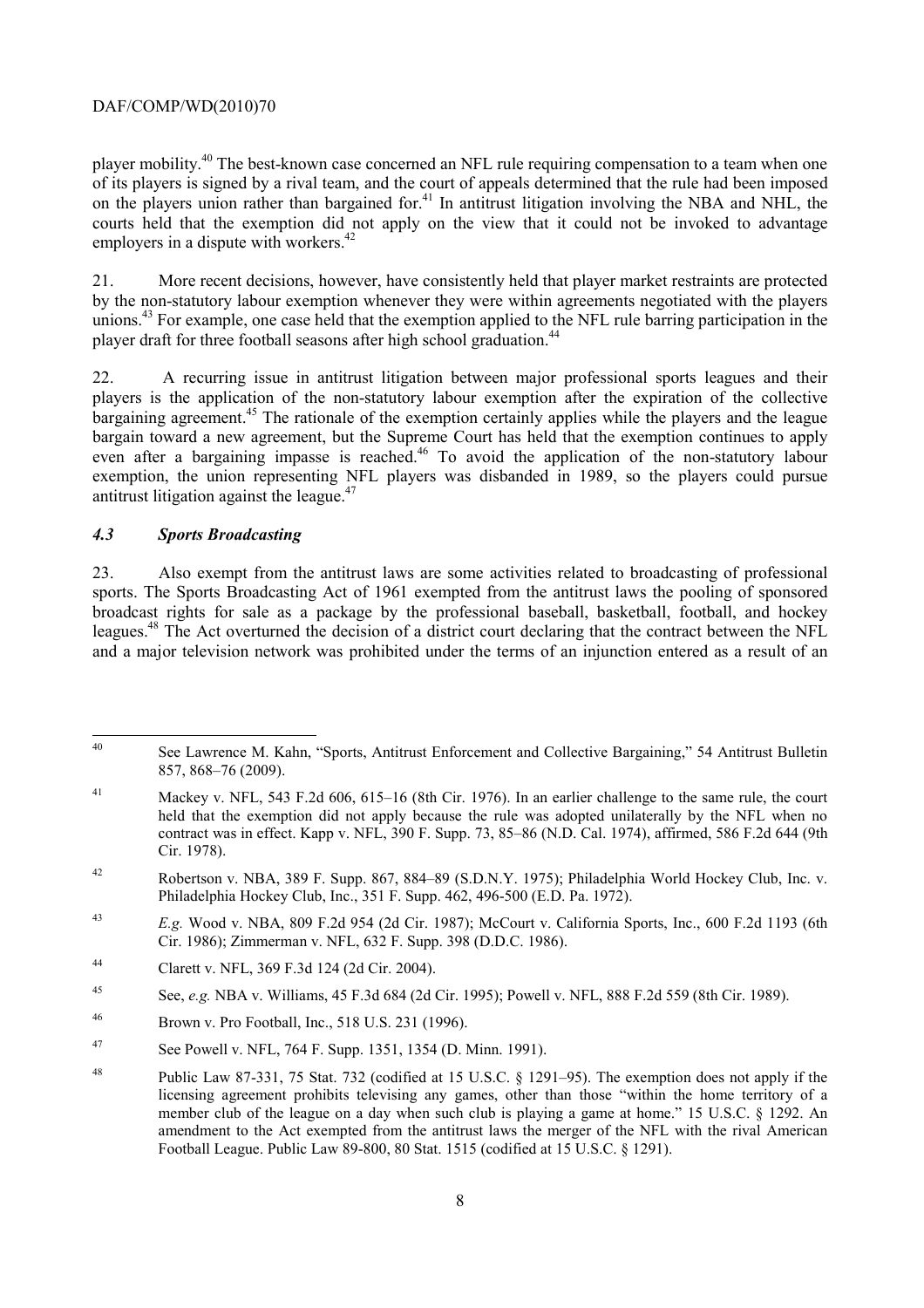player mobility.40 The best-known case concerned an NFL rule requiring compensation to a team when one of its players is signed by a rival team, and the court of appeals determined that the rule had been imposed on the players union rather than bargained for.<sup>41</sup> In antitrust litigation involving the NBA and NHL, the courts held that the exemption did not apply on the view that it could not be invoked to advantage employers in a dispute with workers.<sup>42</sup>

21. More recent decisions, however, have consistently held that player market restraints are protected by the non-statutory labour exemption whenever they were within agreements negotiated with the players unions.<sup>43</sup> For example, one case held that the exemption applied to the NFL rule barring participation in the player draft for three football seasons after high school graduation.<sup>44</sup>

22. A recurring issue in antitrust litigation between major professional sports leagues and their players is the application of the non-statutory labour exemption after the expiration of the collective bargaining agreement.<sup>45</sup> The rationale of the exemption certainly applies while the players and the league bargain toward a new agreement, but the Supreme Court has held that the exemption continues to apply even after a bargaining impasse is reached.<sup>46</sup> To avoid the application of the non-statutory labour exemption, the union representing NFL players was disbanded in 1989, so the players could pursue antitrust litigation against the league. $47$ 

#### *4.3 Sports Broadcasting*

 and a major television network was prohibited under the terms of an injunction entered as a result of an 23. Also exempt from the antitrust laws are some activities related to broadcasting of professional sports. The Sports Broadcasting Act of 1961 exempted from the antitrust laws the pooling of sponsored broadcast rights for sale as a package by the professional baseball, basketball, football, and hockey leagues.48 The Act overturned the decision of a district court declaring that the contract between the NFL

44 Clarett v. NFL, 369 F.3d 124 (2d Cir. 2004).

 $\overline{40}$ See Lawrence M. Kahn, "Sports, Antitrust Enforcement and Collective Bargaining," 54 Antitrust Bulletin 857, 868–76 (2009).

 held that the exemption did not apply because the rule was adopted unilaterally by the NFL when no 41 Mackey v. NFL, 543 F.2d 606, 615–16 (8th Cir. 1976). In an earlier challenge to the same rule, the court contract was in effect. Kapp v. NFL, 390 F. Supp. 73, 85–86 (N.D. Cal. 1974), affirmed, 586 F.2d 644 (9th Cir. 1978).

<sup>42</sup> Robertson v. NBA, 389 F. Supp. 867, 884–89 (S.D.N.Y. 1975); Philadelphia World Hockey Club, Inc. v. Philadelphia Hockey Club, Inc., 351 F. Supp. 462, 496-500 (E.D. Pa. 1972).

<sup>43</sup>*E.g.* Wood v. NBA, 809 F.2d 954 (2d Cir. 1987); McCourt v. California Sports, Inc., 600 F.2d 1193 (6th Cir. 1986); Zimmerman v. NFL, 632 F. Supp. 398 (D.D.C. 1986).

<sup>45</sup> See, *e.g.* NBA v. Williams, 45 F.3d 684 (2d Cir. 1995); Powell v. NFL, 888 F.2d 559 (8th Cir. 1989).

<sup>46</sup> Brown v. Pro Football, Inc., 518 U.S. 231 (1996).

<sup>47</sup> See Powell v. NFL, 764 F. Supp. 1351, 1354 (D. Minn. 1991).

 licensing agreement prohibits televising any games, other than those "within the home territory of a 48 Public Law 87-331, 75 Stat. 732 (codified at 15 U.S.C. § 1291–95). The exemption does not apply if the member club of the league on a day when such club is playing a game at home." 15 U.S.C. § 1292. An amendment to the Act exempted from the antitrust laws the merger of the NFL with the rival American Football League. Public Law 89-800, 80 Stat. 1515 (codified at 15 U.S.C. § 1291).